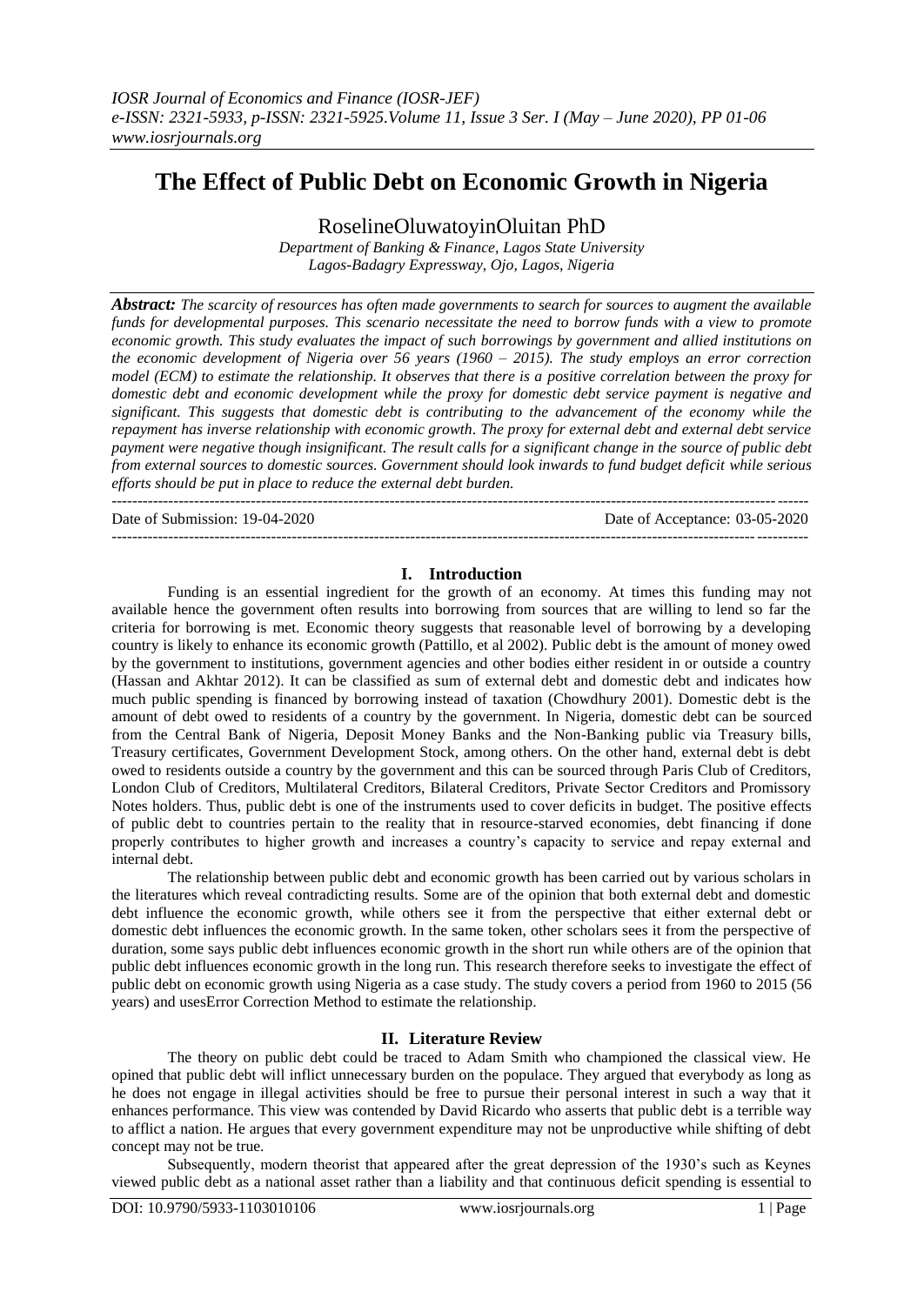# **The Effect of Public Debt on Economic Growth in Nigeria**

RoselineOluwatoyinOluitan PhD

*Department of Banking & Finance, Lagos State University Lagos-Badagry Expressway, Ojo, Lagos, Nigeria* 

*Abstract: The scarcity of resources has often made governments to search for sources to augment the available funds for developmental purposes. This scenario necessitate the need to borrow funds with a view to promote economic growth. This study evaluates the impact of such borrowings by government and allied institutions on the economic development of Nigeria over 56 years (1960 – 2015). The study employs an error correction model (ECM) to estimate the relationship. It observes that there is a positive correlation between the proxy for domestic debt and economic development while the proxy for domestic debt service payment is negative and significant. This suggests that domestic debt is contributing to the advancement of the economy while the repayment has inverse relationship with economic growth. The proxy for external debt and external debt service payment were negative though insignificant. The result calls for a significant change in the source of public debt from external sources to domestic sources. Government should look inwards to fund budget deficit while serious efforts should be put in place to reduce the external debt burden.* ---------------------------------------------------------------------------------------------------------------------------------------

Date of Submission: 19-04-2020 Date of Acceptance: 03-05-2020 ---------------------------------------------------------------------------------------------------------------------------------------

### **I. Introduction**

Funding is an essential ingredient for the growth of an economy. At times this funding may not available hence the government often results into borrowing from sources that are willing to lend so far the criteria for borrowing is met. Economic theory suggests that reasonable level of borrowing by a developing country is likely to enhance its economic growth (Pattillo, et al 2002). Public debt is the amount of money owed by the government to institutions, government agencies and other bodies either resident in or outside a country (Hassan and Akhtar 2012). It can be classified as sum of external debt and domestic debt and indicates how much public spending is financed by borrowing instead of taxation (Chowdhury 2001). Domestic debt is the amount of debt owed to residents of a country by the government. In Nigeria, domestic debt can be sourced from the Central Bank of Nigeria, Deposit Money Banks and the Non-Banking public via Treasury bills, Treasury certificates, Government Development Stock, among others. On the other hand, external debt is debt owed to residents outside a country by the government and this can be sourced through Paris Club of Creditors, London Club of Creditors, Multilateral Creditors, Bilateral Creditors, Private Sector Creditors and Promissory Notes holders. Thus, public debt is one of the instruments used to cover deficits in budget. The positive effects of public debt to countries pertain to the reality that in resource-starved economies, debt financing if done properly contributes to higher growth and increases a country's capacity to service and repay external and internal debt.

The relationship between public debt and economic growth has been carried out by various scholars in the literatures which reveal contradicting results. Some are of the opinion that both external debt and domestic debt influence the economic growth, while others see it from the perspective that either external debt or domestic debt influences the economic growth. In the same token, other scholars sees it from the perspective of duration, some says public debt influences economic growth in the short run while others are of the opinion that public debt influences economic growth in the long run. This research therefore seeks to investigate the effect of public debt on economic growth using Nigeria as a case study. The study covers a period from 1960 to 2015 (56 years) and usesError Correction Method to estimate the relationship.

### **II. Literature Review**

The theory on public debt could be traced to Adam Smith who championed the classical view. He opined that public debt will inflict unnecessary burden on the populace. They argued that everybody as long as he does not engage in illegal activities should be free to pursue their personal interest in such a way that it enhances performance. This view was contended by David Ricardo who asserts that public debt is a terrible way to afflict a nation. He argues that every government expenditure may not be unproductive while shifting of debt concept may not be true.

Subsequently, modern theorist that appeared after the great depression of the 1930's such as Keynes viewed public debt as a national asset rather than a liability and that continuous deficit spending is essential to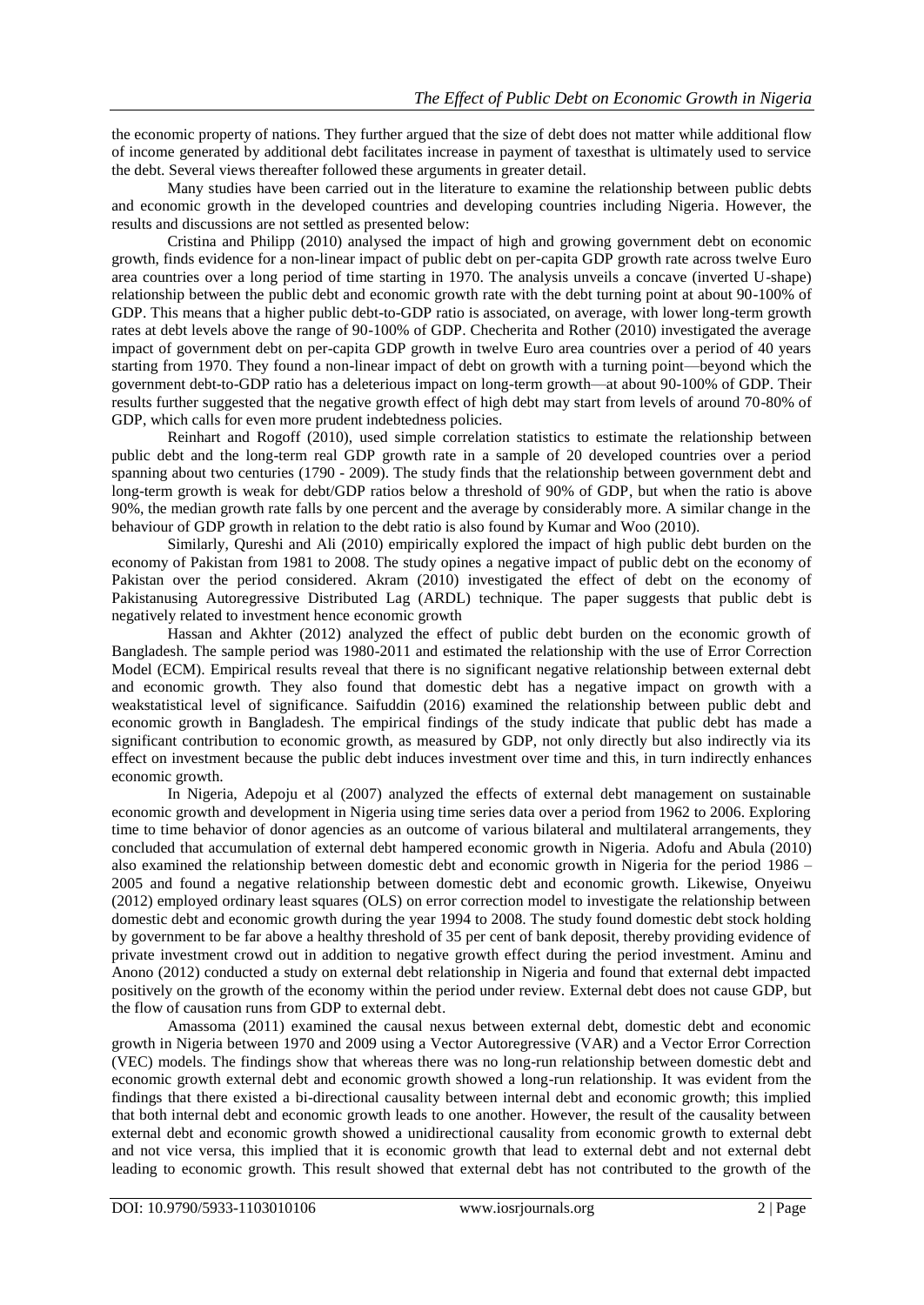the economic property of nations. They further argued that the size of debt does not matter while additional flow of income generated by additional debt facilitates increase in payment of taxesthat is ultimately used to service the debt. Several views thereafter followed these arguments in greater detail.

Many studies have been carried out in the literature to examine the relationship between public debts and economic growth in the developed countries and developing countries including Nigeria. However, the results and discussions are not settled as presented below:

Cristina and Philipp (2010) analysed the impact of high and growing government debt on economic growth, finds evidence for a non-linear impact of public debt on per-capita GDP growth rate across twelve Euro area countries over a long period of time starting in 1970. The analysis unveils a concave (inverted U-shape) relationship between the public debt and economic growth rate with the debt turning point at about 90-100% of GDP. This means that a higher public debt-to-GDP ratio is associated, on average, with lower long-term growth rates at debt levels above the range of 90-100% of GDP. Checherita and Rother (2010) investigated the average impact of government debt on per-capita GDP growth in twelve Euro area countries over a period of 40 years starting from 1970. They found a non-linear impact of debt on growth with a turning point—beyond which the government debt-to-GDP ratio has a deleterious impact on long-term growth—at about 90-100% of GDP. Their results further suggested that the negative growth effect of high debt may start from levels of around 70-80% of GDP, which calls for even more prudent indebtedness policies.

Reinhart and Rogoff (2010), used simple correlation statistics to estimate the relationship between public debt and the long-term real GDP growth rate in a sample of 20 developed countries over a period spanning about two centuries (1790 - 2009). The study finds that the relationship between government debt and long-term growth is weak for debt/GDP ratios below a threshold of 90% of GDP, but when the ratio is above 90%, the median growth rate falls by one percent and the average by considerably more. A similar change in the behaviour of GDP growth in relation to the debt ratio is also found by Kumar and Woo (2010).

Similarly, Qureshi and Ali (2010) empirically explored the impact of high public debt burden on the economy of Pakistan from 1981 to 2008. The study opines a negative impact of public debt on the economy of Pakistan over the period considered. Akram (2010) investigated the effect of debt on the economy of Pakistanusing Autoregressive Distributed Lag (ARDL) technique. The paper suggests that public debt is negatively related to investment hence economic growth

Hassan and Akhter (2012) analyzed the effect of public debt burden on the economic growth of Bangladesh. The sample period was 1980-2011 and estimated the relationship with the use of Error Correction Model (ECM). Empirical results reveal that there is no significant negative relationship between external debt and economic growth. They also found that domestic debt has a negative impact on growth with a weakstatistical level of significance. Saifuddin (2016) examined the relationship between public debt and economic growth in Bangladesh. The empirical findings of the study indicate that public debt has made a significant contribution to economic growth, as measured by GDP, not only directly but also indirectly via its effect on investment because the public debt induces investment over time and this, in turn indirectly enhances economic growth.

In Nigeria, Adepoju et al (2007) analyzed the effects of external debt management on sustainable economic growth and development in Nigeria using time series data over a period from 1962 to 2006. Exploring time to time behavior of donor agencies as an outcome of various bilateral and multilateral arrangements, they concluded that accumulation of external debt hampered economic growth in Nigeria. Adofu and Abula (2010) also examined the relationship between domestic debt and economic growth in Nigeria for the period 1986 – 2005 and found a negative relationship between domestic debt and economic growth. Likewise, Onyeiwu (2012) employed ordinary least squares (OLS) on error correction model to investigate the relationship between domestic debt and economic growth during the year 1994 to 2008. The study found domestic debt stock holding by government to be far above a healthy threshold of 35 per cent of bank deposit, thereby providing evidence of private investment crowd out in addition to negative growth effect during the period investment. Aminu and Anono (2012) conducted a study on external debt relationship in Nigeria and found that external debt impacted positively on the growth of the economy within the period under review. External debt does not cause GDP, but the flow of causation runs from GDP to external debt.

Amassoma (2011) examined the causal nexus between external debt, domestic debt and economic growth in Nigeria between 1970 and 2009 using a Vector Autoregressive (VAR) and a Vector Error Correction (VEC) models. The findings show that whereas there was no long-run relationship between domestic debt and economic growth external debt and economic growth showed a long-run relationship. It was evident from the findings that there existed a bi-directional causality between internal debt and economic growth; this implied that both internal debt and economic growth leads to one another. However, the result of the causality between external debt and economic growth showed a unidirectional causality from economic growth to external debt and not vice versa, this implied that it is economic growth that lead to external debt and not external debt leading to economic growth. This result showed that external debt has not contributed to the growth of the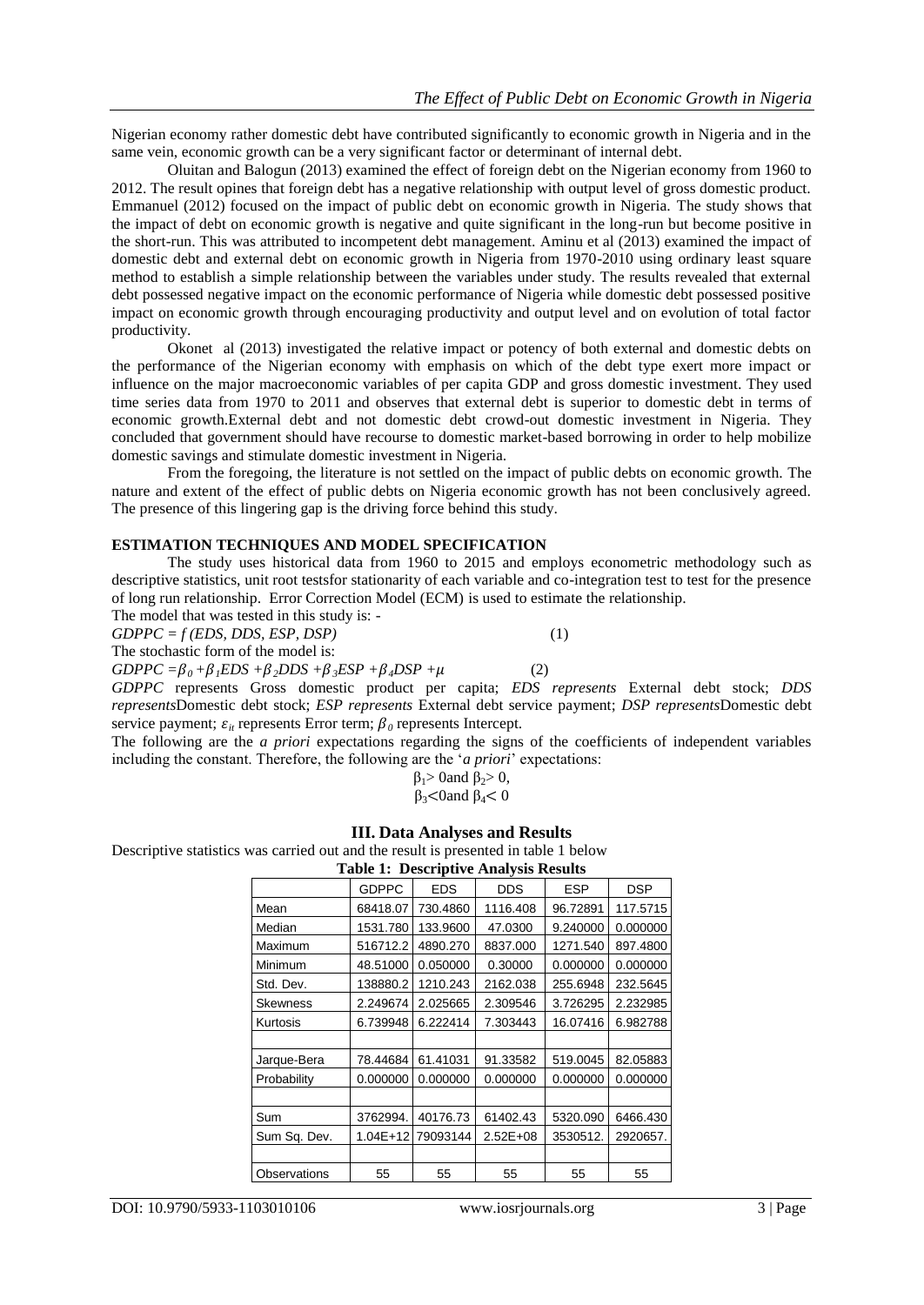Nigerian economy rather domestic debt have contributed significantly to economic growth in Nigeria and in the same vein, economic growth can be a very significant factor or determinant of internal debt.

Oluitan and Balogun (2013) examined the effect of foreign debt on the Nigerian economy from 1960 to 2012. The result opines that foreign debt has a negative relationship with output level of gross domestic product. Emmanuel (2012) focused on the impact of public debt on economic growth in Nigeria. The study shows that the impact of debt on economic growth is negative and quite significant in the long-run but become positive in the short-run. This was attributed to incompetent debt management. Aminu et al (2013) examined the impact of domestic debt and external debt on economic growth in Nigeria from 1970-2010 using ordinary least square method to establish a simple relationship between the variables under study. The results revealed that external debt possessed negative impact on the economic performance of Nigeria while domestic debt possessed positive impact on economic growth through encouraging productivity and output level and on evolution of total factor productivity.

Okonet al (2013) investigated the relative impact or potency of both external and domestic debts on the performance of the Nigerian economy with emphasis on which of the debt type exert more impact or influence on the major macroeconomic variables of per capita GDP and gross domestic investment. They used time series data from 1970 to 2011 and observes that external debt is superior to domestic debt in terms of economic growth.External debt and not domestic debt crowd-out domestic investment in Nigeria. They concluded that government should have recourse to domestic market-based borrowing in order to help mobilize domestic savings and stimulate domestic investment in Nigeria.

From the foregoing, the literature is not settled on the impact of public debts on economic growth. The nature and extent of the effect of public debts on Nigeria economic growth has not been conclusively agreed. The presence of this lingering gap is the driving force behind this study.

#### **ESTIMATION TECHNIQUES AND MODEL SPECIFICATION**

The study uses historical data from 1960 to 2015 and employs econometric methodology such as descriptive statistics, unit root testsfor stationarity of each variable and co-integration test to test for the presence of long run relationship. Error Correction Model (ECM) is used to estimate the relationship.

The model that was tested in this study is: -  $GDPPC = f(EDS, DDS, ESP, DSP)$  (1) The stochastic form of the model is:  $GDPPC = \beta_0 + \beta_1 EDS + \beta_2 DDS + \beta_3 ESP + \beta_4 DSP + \mu$  (2) *GDPPC* represents Gross domestic product per capita; *EDS represents* External debt stock; *DDS represents*Domestic debt stock; *ESP represents* External debt service payment; *DSP represents*Domestic debt service payment;  $\varepsilon_{it}$  represents Error term;  $\beta_0$  represents Intercept.

The following are the *a priori* expectations regarding the signs of the coefficients of independent variables including the constant. Therefore, the following are the *'a priori'* expectations:

$$
\beta_1>0 \text{ and } \beta_2>0,
$$
  

$$
\beta_3<0 \text{ and } \beta_4<0
$$

**III. Data Analyses and Results**

Descriptive statistics was carried out and the result is presented in table 1 below

| <b>Table 1: Descriptive Analysis Results</b> |              |            |              |            |            |  |
|----------------------------------------------|--------------|------------|--------------|------------|------------|--|
|                                              | <b>GDPPC</b> | <b>EDS</b> | <b>DDS</b>   | <b>ESP</b> | <b>DSP</b> |  |
| Mean                                         | 68418.07     | 730.4860   | 1116.408     | 96.72891   | 117.5715   |  |
| Median                                       | 1531.780     | 133.9600   | 47.0300      | 9.240000   | 0.000000   |  |
| Maximum                                      | 516712.2     | 4890.270   | 8837.000     | 1271.540   | 897.4800   |  |
| Minimum                                      | 48.51000     | 0.050000   | 0.30000      | 0.000000   | 0.000000   |  |
| Std. Dev.                                    | 138880.2     | 1210.243   | 2162.038     | 255.6948   | 232.5645   |  |
| <b>Skewness</b>                              | 2.249674     | 2.025665   | 2.309546     | 3.726295   | 2.232985   |  |
| Kurtosis                                     | 6.739948     | 6.222414   | 7.303443     | 16.07416   | 6.982788   |  |
|                                              |              |            |              |            |            |  |
| Jarque-Bera                                  | 78.44684     | 61.41031   | 91.33582     | 519.0045   | 82.05883   |  |
| Probability                                  | 0.000000     | 0.000000   | 0.000000     | 0.000000   | 0.000000   |  |
|                                              |              |            |              |            |            |  |
| Sum                                          | 3762994.     | 40176.73   | 61402.43     | 5320.090   | 6466.430   |  |
| Sum Sq. Dev.                                 | $1.04E + 12$ | 79093144   | $2.52E + 08$ | 3530512.   | 2920657.   |  |
|                                              |              |            |              |            |            |  |
| Observations                                 | 55           | 55         | 55           | 55         | 55         |  |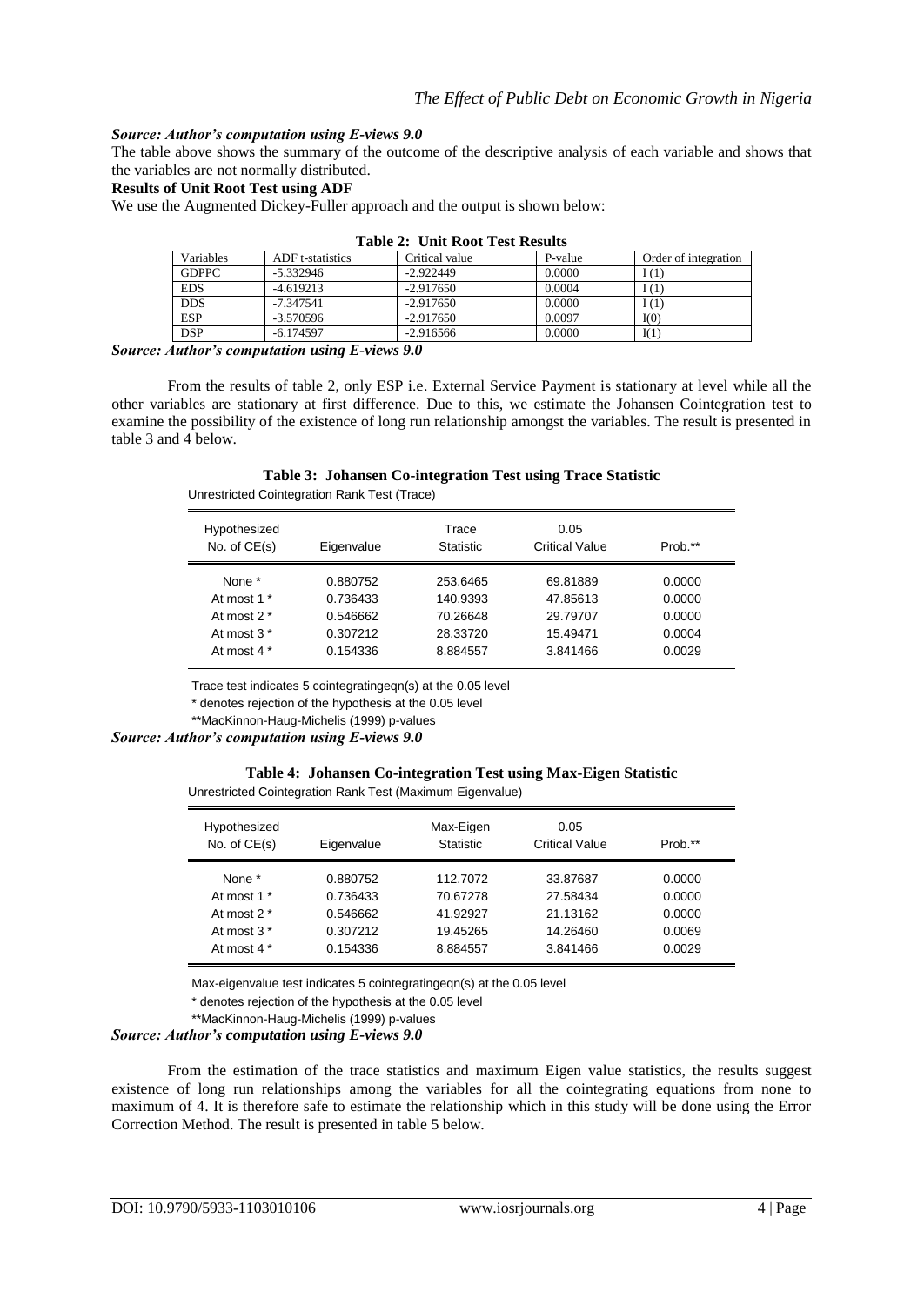#### *Source: Author's computation using E-views 9.0*

The table above shows the summary of the outcome of the descriptive analysis of each variable and shows that the variables are not normally distributed.

#### **Results of Unit Root Test using ADF**

We use the Augmented Dickey-Fuller approach and the output is shown below:

| Table 2. Unit Root Test Results |                  |                |         |                      |  |
|---------------------------------|------------------|----------------|---------|----------------------|--|
| Variables                       | ADF t-statistics | Critical value | P-value | Order of integration |  |
| <b>GDPPC</b>                    | $-5.332946$      | $-2.922449$    | 0.0000  | 1(1)                 |  |
| <b>EDS</b>                      | $-4.619213$      | $-2.917650$    | 0.0004  | I(1)                 |  |
| <b>DDS</b>                      | $-7.347541$      | $-2.917650$    | 0.0000  | I(1)                 |  |
| <b>ESP</b>                      | $-3.570596$      | $-2.917650$    | 0.0097  | I(0)                 |  |
| <b>DSP</b>                      | $-6.174597$      | $-2.916566$    | 0.0000  | I(1)                 |  |

#### **Table 2: Unit Root Test Results**

*Source: Author's computation using E-views 9.0*

From the results of table 2, only ESP i.e. External Service Payment is stationary at level while all the other variables are stationary at first difference. Due to this, we estimate the Johansen Cointegration test to examine the possibility of the existence of long run relationship amongst the variables. The result is presented in table 3 and 4 below.

|                                              | Table 3: Johansen Co-integration Test using Trace Statistic |  |  |
|----------------------------------------------|-------------------------------------------------------------|--|--|
| Unrestricted Cointegration Rank Test (Trace) |                                                             |  |  |

| Hypothesized<br>No. of $CE(s)$ | Eigenvalue | Trace<br><b>Statistic</b> | 0.05<br>Critical Value | Prob.** |
|--------------------------------|------------|---------------------------|------------------------|---------|
| None *                         | 0.880752   | 253.6465                  | 69.81889               | 0.0000  |
| At most 1 *                    | 0.736433   | 140.9393                  | 47.85613               | 0.0000  |
| At most $2^*$                  | 0.546662   | 70.26648                  | 29.79707               | 0.0000  |
| At most 3 <sup>*</sup>         | 0.307212   | 28.33720                  | 15.49471               | 0.0004  |
| At most 4 *                    | 0.154336   | 8.884557                  | 3.841466               | 0.0029  |

Trace test indicates 5 cointegratingeqn(s) at the 0.05 level

\* denotes rejection of the hypothesis at the 0.05 level

\*\*MacKinnon-Haug-Michelis (1999) p-values

*Source: Author's computation using E-views 9.0*

## **Table 4: Johansen Co-integration Test using Max-Eigen Statistic**

Unrestricted Cointegration Rank Test (Maximum Eigenvalue)

| Hypothesized<br>No. of $CE(s)$ | Eigenvalue | Max-Eigen<br><b>Statistic</b> | 0.05<br><b>Critical Value</b> | Prob.** |
|--------------------------------|------------|-------------------------------|-------------------------------|---------|
| None *                         | 0.880752   | 112.7072                      | 33.87687                      | 0.0000  |
| At most 1 *                    | 0.736433   | 70.67278                      | 27.58434                      | 0.0000  |
| At most $2^*$                  | 0.546662   | 41.92927                      | 21.13162                      | 0.0000  |
| At most $3*$                   | 0.307212   | 19.45265                      | 14.26460                      | 0.0069  |
| At most 4 *                    | 0.154336   | 8.884557                      | 3.841466                      | 0.0029  |

Max-eigenvalue test indicates 5 cointegratingeqn(s) at the 0.05 level

\* denotes rejection of the hypothesis at the 0.05 level

\*\*MacKinnon-Haug-Michelis (1999) p-values

*Source: Author's computation using E-views 9.0*

From the estimation of the trace statistics and maximum Eigen value statistics, the results suggest existence of long run relationships among the variables for all the cointegrating equations from none to maximum of 4. It is therefore safe to estimate the relationship which in this study will be done using the Error Correction Method. The result is presented in table 5 below.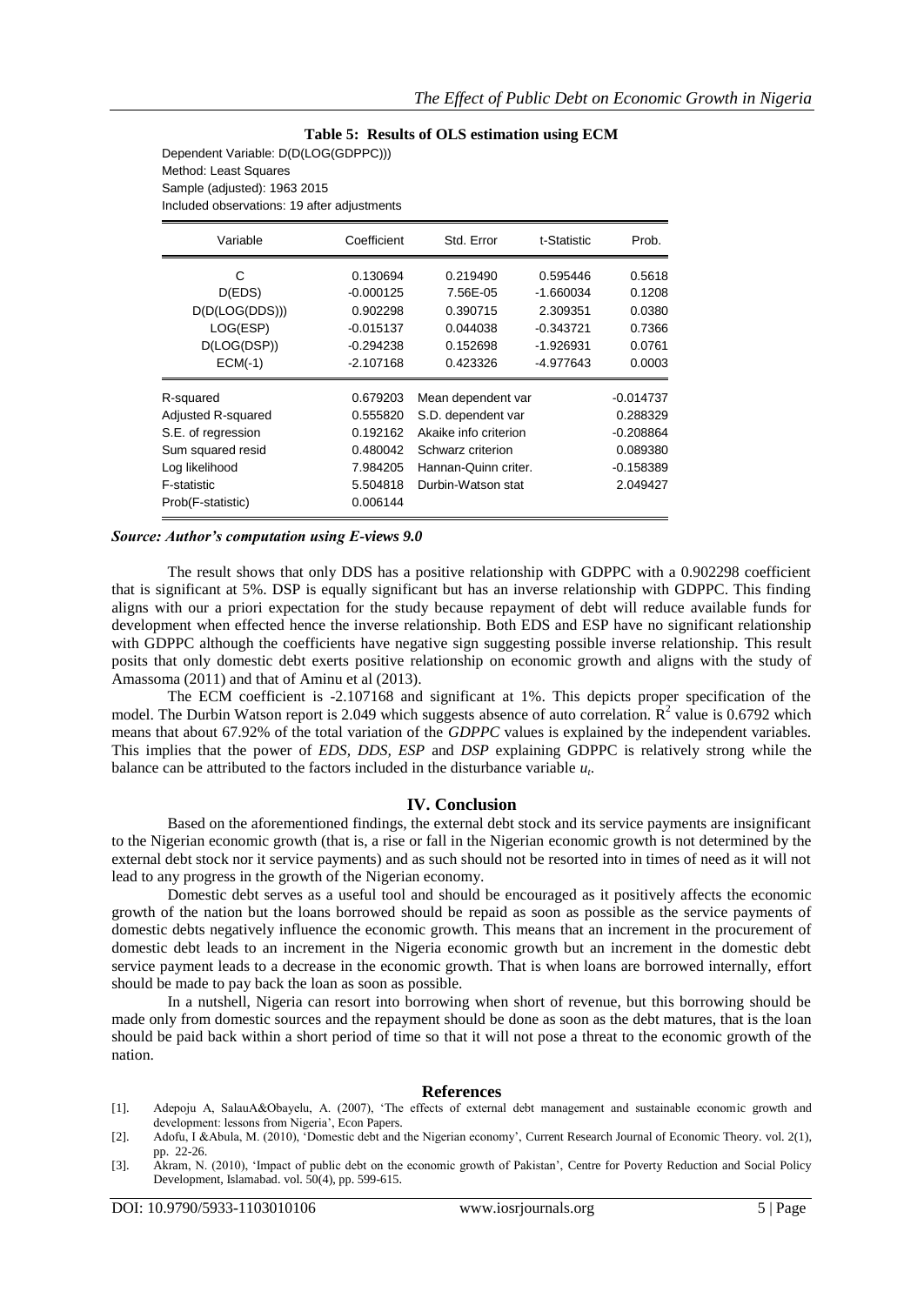#### **Table 5: Results of OLS estimation using ECM**

Dependent Variable: D(D(LOG(GDPPC))) Method: Least Squares Sample (adjusted): 1963 2015 Included observations: 19 after adjustments

| Variable           | Coefficient | Std. Error            | t-Statistic | Prob.       |
|--------------------|-------------|-----------------------|-------------|-------------|
| С                  | 0.130694    | 0.219490              | 0.595446    | 0.5618      |
| D(EDS)             | $-0.000125$ | 7.56E-05              | $-1.660034$ | 0.1208      |
| D(D(LOG(DDS)))     | 0.902298    | 0.390715              | 2.309351    | 0.0380      |
| LOG(ESP)           | $-0.015137$ | 0.044038              | $-0.343721$ | 0.7366      |
| D(LOG(DSP))        | $-0.294238$ | 0.152698              | $-1.926931$ | 0.0761      |
| $ECM(-1)$          | $-2.107168$ | 0.423326              | -4.977643   | 0.0003      |
| R-squared          | 0.679203    | Mean dependent var    |             | $-0.014737$ |
| Adjusted R-squared | 0.555820    | S.D. dependent var    |             | 0.288329    |
| S.E. of regression | 0.192162    | Akaike info criterion |             | $-0.208864$ |
| Sum squared resid  | 0.480042    | Schwarz criterion     |             | 0.089380    |
| Log likelihood     | 7.984205    | Hannan-Quinn criter.  |             | $-0.158389$ |
| F-statistic        | 5.504818    | Durbin-Watson stat    |             | 2.049427    |
| Prob(F-statistic)  | 0.006144    |                       |             |             |

#### *Source: Author's computation using E-views 9.0*

The result shows that only DDS has a positive relationship with GDPPC with a 0.902298 coefficient that is significant at 5%. DSP is equally significant but has an inverse relationship with GDPPC. This finding aligns with our a priori expectation for the study because repayment of debt will reduce available funds for development when effected hence the inverse relationship. Both EDS and ESP have no significant relationship with GDPPC although the coefficients have negative sign suggesting possible inverse relationship. This result posits that only domestic debt exerts positive relationship on economic growth and aligns with the study of Amassoma (2011) and that of Aminu et al (2013).

The ECM coefficient is -2.107168 and significant at 1%. This depicts proper specification of the model. The Durbin Watson report is 2.049 which suggests absence of auto correlation.  $\mathbb{R}^2$  value is 0.6792 which means that about 67.92% of the total variation of the *GDPPC* values is explained by the independent variables. This implies that the power of *EDS, DDS, ESP* and *DSP* explaining GDPPC is relatively strong while the balance can be attributed to the factors included in the disturbance variable *u<sup>t</sup>* .

#### **IV. Conclusion**

Based on the aforementioned findings, the external debt stock and its service payments are insignificant to the Nigerian economic growth (that is, a rise or fall in the Nigerian economic growth is not determined by the external debt stock nor it service payments) and as such should not be resorted into in times of need as it will not lead to any progress in the growth of the Nigerian economy.

Domestic debt serves as a useful tool and should be encouraged as it positively affects the economic growth of the nation but the loans borrowed should be repaid as soon as possible as the service payments of domestic debts negatively influence the economic growth. This means that an increment in the procurement of domestic debt leads to an increment in the Nigeria economic growth but an increment in the domestic debt service payment leads to a decrease in the economic growth. That is when loans are borrowed internally, effort should be made to pay back the loan as soon as possible.

In a nutshell, Nigeria can resort into borrowing when short of revenue, but this borrowing should be made only from domestic sources and the repayment should be done as soon as the debt matures, that is the loan should be paid back within a short period of time so that it will not pose a threat to the economic growth of the nation.

#### **References**

- [1]. Adepoju A, SalauA&Obayelu, A. (2007), ‗The effects of external debt management and sustainable economic growth and development: lessons from Nigeria', Econ Papers.
- [2]. Adofu, I &Abula, M. (2010), ‗Domestic debt and the Nigerian economy', Current Research Journal of Economic Theory. vol. 2(1), pp. 22-26.
- [3]. Akram, N. (2010), 'Impact of public debt on the economic growth of Pakistan', Centre for Poverty Reduction and Social Policy Development, Islamabad. vol. 50(4), pp. 599-615.